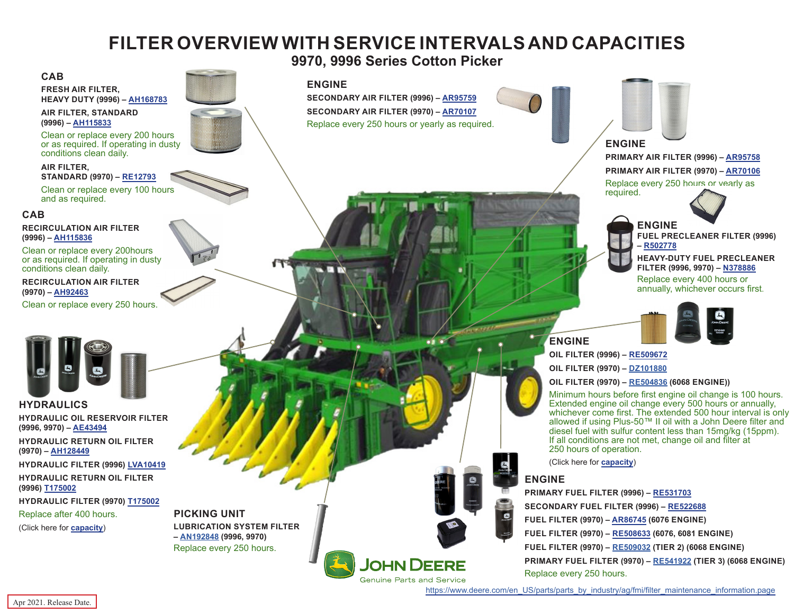# **FILTER OVERVIEW WITH SERVICE INTERVALS AND CAPACITIES**

**9970, 9996 Series Cotton Picker**

#### **ENGINE**

**SECONDARY AIR FILTER (9996) – [AR95759](https://jdparts.deere.com/servlet/com.deere.u90.jdparts.view.servlets.partinfocontroller.PartDetails?screenName=JDSearch&&partSearchNumber=AR95759) SECONDARY AIR FILTER (9970) – [AR70107](https://jdparts.deere.com/servlet/com.deere.u90.jdparts.view.servlets.partinfocontroller.PartDetails?screenName=JDSearch&&partSearchNumber=AR70107)** Replace every 250 hours or yearly as required.

**JOHN DEERE** 



# **ENGINE**

**PRIMARY AIR FILTER (9996) – [AR95758](https://jdparts.deere.com/servlet/com.deere.u90.jdparts.view.servlets.partinfocontroller.PartDetails?screenName=JDSearch&&partSearchNumber=AR95758) PRIMARY AIR FILTER (9970) – [AR70106](https://jdparts.deere.com/servlet/com.deere.u90.jdparts.view.servlets.partinfocontroller.PartDetails?screenName=JDSearch&&partSearchNumber=AR70106)** Replace every 250 hours or yearly as required.



**ENGINE FUEL PRECLEANER FILTER (9996) – [R502778](https://jdparts.deere.com/servlet/com.deere.u90.jdparts.view.servlets.partinfocontroller.PartDetails?screenName=JDSearch&&partSearchNumber= R502778)**

**HEAVY-DUTY FUEL PRECLEANER FILTER (9996, 9970) – [N378886](https://jdparts.deere.com/servlet/com.deere.u90.jdparts.view.servlets.partinfocontroller.PartDetails?screenName=JDSearch&&partSearchNumber= N378886 )**

Replace every 400 hours or annually, whichever occurs first.



**OIL FILTER (9996) – [RE509672](https://jdparts.deere.com/servlet/com.deere.u90.jdparts.view.servlets.partinfocontroller.PartDetails?screenName=JDSearch&&partSearchNumber=RE509672) OIL FILTER (9970) – [DZ101880](https://jdparts.deere.com/servlet/com.deere.u90.jdparts.view.servlets.partinfocontroller.PartDetails?screenName=JDSearch&&partSearchNumber=DZ101880)**

**OIL FILTER (9970) – [RE504836](https://jdparts.deere.com/servlet/com.deere.u90.jdparts.view.servlets.partinfocontroller.PartDetails?screenName=JDSearch&&partSearchNumber=RE504836) (6068 ENGINE))**

Minimum hours before first engine oil change is 100 hours. Extended engine oil change every 500 hours or annually, whichever come first. The extended 500 hour interval is only allowed if using Plus-50™ II oil with a John Deere filter and diesel fuel with sulfur content less than 15mg/kg (15ppm). If all conditions are not met, change oil and filter at 250 hours of operation.

## **ENGINE**

 $\bullet$ 

**PRIMARY FUEL FILTER (9996) – [RE531703](https://jdparts.deere.com/servlet/com.deere.u90.jdparts.view.servlets.partinfocontroller.PartDetails?screenName=JDSearch&&partSearchNumber=RE531703) SECONDARY FUEL FILTER (9996) – [RE522688](https://jdparts.deere.com/servlet/com.deere.u90.jdparts.view.servlets.partinfocontroller.PartDetails?screenName=JDSearch&&partSearchNumber=RE522688) FUEL FILTER (9970) – [AR86745](https://jdparts.deere.com/servlet/com.deere.u90.jdparts.view.servlets.partinfocontroller.PartDetails?screenName=JDSearch&&partSearchNumber=AR86745) (6076 ENGINE) FUEL FILTER (9970) – [RE508633](https://jdparts.deere.com/servlet/com.deere.u90.jdparts.view.servlets.partinfocontroller.PartDetails?screenName=JDSearch&&partSearchNumber=RE508633) (6076, 6081 ENGINE) FUEL FILTER (9970) – [RE509032](https://jdparts.deere.com/servlet/com.deere.u90.jdparts.view.servlets.partinfocontroller.PartDetails?screenName=JDSearch&&partSearchNumber=RE509032) (TIER 2) (6068 ENGINE) PRIMARY FUEL FILTER (9970) – [RE541922](https://jdparts.deere.com/servlet/com.deere.u90.jdparts.view.servlets.partinfocontroller.PartDetails?screenName=JDSearch&&partSearchNumber=RE541922) (TIER 3) (6068 ENGINE)** Replace every 250 hours.



**ENGINE**

(Click here for **[capacity](#page-1-0)**)

**Genuine Parts and Service** [https://www.deere.com/en\\_US/parts/parts\\_by\\_industry/ag/fmi/filter\\_maintenance\\_information.page](https://www.deere.com/en_US/parts/parts_by_industry/ag/fmi/filter_maintenance_information.page)

#### <span id="page-0-0"></span>**CAB**

**FRESH AIR FILTER, HEAVY DUTY (9996) – [AH168783](https://jdparts.deere.com/servlet/com.deere.u90.jdparts.view.servlets.partinfocontroller.PartDetails?screenName=JDSearch&&partSearchNumber=AH168783)**

**AIR FILTER, STANDARD (9996) – [AH115833](https://jdparts.deere.com/servlet/com.deere.u90.jdparts.view.servlets.partinfocontroller.PartDetails?screenName=JDSearch&&partSearchNumber=AH115833)**

Clean or replace every 200 hours or as required. If operating in dusty conditions clean daily.

**AIR FILTER, STANDARD (9970) – [RE12793](https://jdparts.deere.com/servlet/com.deere.u90.jdparts.view.servlets.partinfocontroller.PartDetails?screenName=JDSearch&&partSearchNumber=RE12793)**

Clean or replace every 100 hours and as required.

### **CAB**

**RECIRCULATION AIR FILTER (9996) – [AH115836](https://jdparts.deere.com/servlet/com.deere.u90.jdparts.view.servlets.partinfocontroller.PartDetails?screenName=JDSearch&&partSearchNumber=AH115836)**

Clean or replace every 200hours or as required. If operating in dusty conditions clean daily.

**RECIRCULATION AIR FILTER (9970) – [AH92463](https://jdparts.deere.com/servlet/com.deere.u90.jdparts.view.servlets.partinfocontroller.PartDetails?screenName=JDSearch&&partSearchNumber=AH92463)**

Clean or replace every 250 hours.



**HYDRAULICS HYDRAULIC OIL RESERVOIR FILTER (9996, 9970) – [AE43494](https://jdparts.deere.com/servlet/com.deere.u90.jdparts.view.servlets.partinfocontroller.PartDetails?screenName=JDSearch&&partSearchNumber=AE43494)**

**HYDRAULIC RETURN OIL FILTER (9970) – [AH128449](https://jdparts.deere.com/servlet/com.deere.u90.jdparts.view.servlets.partinfocontroller.PartDetails?screenName=JDSearch&&partSearchNumber=AH128449)**

**HYDRAULIC FILTER (9996) [LVA10419](https://jdparts.deere.com/servlet/com.deere.u90.jdparts.view.servlets.partinfocontroller.PartDetails?screenName=JDSearch&&partSearchNumber=LVA10419)**

**HYDRAULIC RETURN OIL FILTER (9996) [T175002](https://jdparts.deere.com/servlet/com.deere.u90.jdparts.view.servlets.partinfocontroller.PartDetails?screenName=JDSearch&&partSearchNumber=T175002)**

**HYDRAULIC FILTER (9970) [T175002](https://jdparts.deere.com/servlet/com.deere.u90.jdparts.view.servlets.partinfocontroller.PartDetails?screenName=JDSearch&&partSearchNumber=T175002)** Replace after 400 hours. (Click here for **[capacity](#page-1-0)**)

**PICKING UNIT LUBRICATION SYSTEM FILTER – [AN192848](https://jdparts.deere.com/servlet/com.deere.u90.jdparts.view.servlets.partinfocontroller.PartDetails?screenName=JDSearch&&partSearchNumber=AN192848) (9996, 9970)** Replace every 250 hours.

Apr 2021. Release Date.